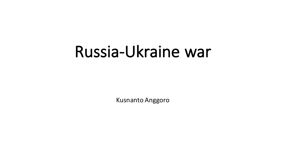# Russia-Ukraine war

**Kusnanto Anggoro**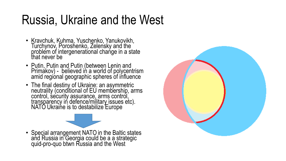## Russia, Ukraine and the West

- Kravchuk, Kuhma, Yuschenko, Yanukovikh, Turchynov, Poroshenko, Zelensky and the problem of intergenerational change in a state that never be
- Putin, Putin and Putin (between Lenin and Primakov) - believed in a world of polycentrism amid regional geographic spheres of influence
- The final destiny of Ukraine: an asymmetric neutrality (conditional of EU membership, arms control, security assurance, arms control, transparency in defence/military issues etc). NATO Ukraine is to destabilize Europe

• Special arrangement NATO in the Baltic states and Russia in Georgia could be a a strategic quid-pro-quo btwn Russia and the West

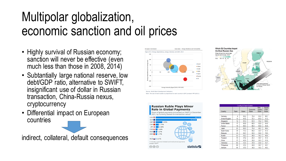# Multipolar globalization, economic sanction and oil prices

- Highly survival of Russian economy; sanction will never be effective (even much less than those in 2008, 2014)
- Subtantially large national reserve, low debt/GDP ratio, alternative to SWIFT, insignificant use of dollar in Russian transaction, China-Russia nexus, cryptocurrency
- Differential impact on European countries

indirect, collateral, default consequences



te: The size of each bubble is proportional to each country's GDP (constant PPP \$2011)

#### **Russian Ruble Plays Minor Role in Global Payments** Share of global payments processed on SWIFT in December currency (based on transaction value) 2.70% AUD **3** 1.27% HKD<sup>3</sup> 1.17% RUB | 0.21% \* includes customer-initiated and institutional payment Source: SWIFT  $\circledcirc$   $\circledcirc$ statista  $\blacksquare$



| <b>Country &amp; Factor Scores</b> |      |       |                   |                                 |                          |  |  |  |
|------------------------------------|------|-------|-------------------|---------------------------------|--------------------------|--|--|--|
| Country                            | Rank | Score | Economic<br>Score | <b>Risk</b><br>Quality<br>Score | Supply<br>Chain<br>Score |  |  |  |
|                                    |      |       |                   |                                 |                          |  |  |  |
| Germany                            | 4    | 96.2  | 79.4              | 95.6                            | 88.1                     |  |  |  |
| <b>United Kingdom</b>              | 10   | 91.5  | 72.1              | 81.9                            | 91.2                     |  |  |  |
| Singapore                          | 12   | 91.3  | 67.0              | 70.2                            | 100.0                    |  |  |  |
| <b>United States</b>               | 17   | 89.8  | 69.5              | 92.8                            | 84.6                     |  |  |  |
| France                             | 19   | 89.3  | 69.4              | 90.8                            | 84.8                     |  |  |  |
| Japan                              | 25   | 82.0  | 76.4              | 48.7                            | 86.4                     |  |  |  |
| South Korea                        | 36   | 71.3  | 66.0              | 32.7                            | 81.5                     |  |  |  |
| Malaysia                           | 44   | 64.7  | 50.5              | 54.6                            | 70.0                     |  |  |  |
| Russia                             | 53   | 56.3  | 48.6              | 74.3                            | 46.4                     |  |  |  |
| Thailand                           | 70   | 47.2  | 24.4              | 43.7                            | 61.5                     |  |  |  |
| China                              | 77   | 45.9  | 30.0              | 30.1                            | 61.6                     |  |  |  |
| Indonesia                          | 82   | 43.4  | 37.9              | 22.8                            | 54.7                     |  |  |  |
| Philippines                        | 89   | 41.5  | 42.6              | 34.7                            | 42.1                     |  |  |  |
| Vietnam                            | 96   | 37.9  | 34.0              | 19.0                            | 49.2                     |  |  |  |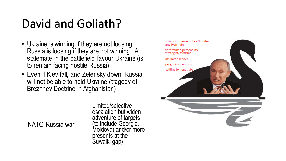### David and Goliath?

- Ukraine is winning if they are not loosing, Russia is loosing if they are not winning. A stalemate in the battlefield favour Ukraine (is to remain facing hostile Russia)
- Even if Kiev fall, and Zelensky down, Russia will not be able to hold Ukraine (tragedy of Brezhnev Doctrine in Afghanistan)

NATO-Russia war

Limited/selective escalation but widen adventure of targets (to include Georgia, Moldova) and/or more presents at the Suwalki gap)

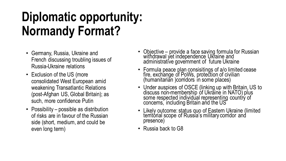# **Diplomatic opportunity: Normandy Format?**

- Germany, Russia, Ukraine and French discussing troubling issues of Russia-Ukraine relations
- Exclusion of the US (more consolidated West European amid weakening Transatlantic Relations (post-Afghan US, Global Britain); as such, more confidence Putin
- Possibility possible as distribution of risks are in favour of the Russian side (short, medium, and could be even long term)
- Objective provide a face saving formula for Russian withdrawal yet independence Ukraine and administrative government of future Ukraine
- Formula peace plan consisitings of a/o limited cease fire, exchange of PoWs, protection of civilian<br>(humanitarian )corridors in some places)
- Under auspices of OSCE (linking up with Britain, US to discuss non-membership of Ukraine in NATO) plus some respected individual representing country of concerns, including Britain and the US
- Likely outcome: status quo of Eastern Ukraine (limited territorial scope of Russia's military corridor and presence)
- Russia back to G8